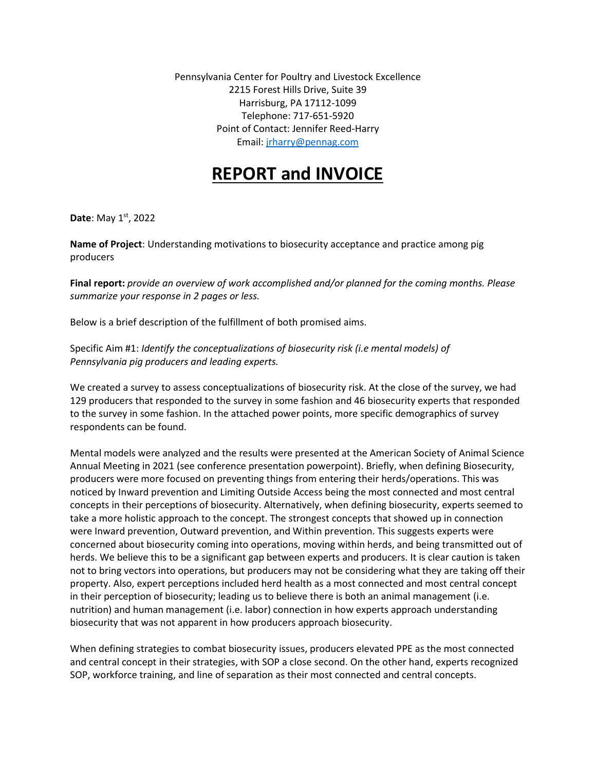Pennsylvania Center for Poultry and Livestock Excellence 2215 Forest Hills Drive, Suite 39 Harrisburg, PA 17112-1099 Telephone: 717-651-5920 Point of Contact: Jennifer Reed-Harry Email: [jrharry@pennag.com](mailto:jrharry@pennag.com)

## **REPORT and INVOICE**

**Date**: May 1st, 2022

**Name of Project**: Understanding motivations to biosecurity acceptance and practice among pig producers

**Final report:** *provide an overview of work accomplished and/or planned for the coming months. Please summarize your response in 2 pages or less.*

Below is a brief description of the fulfillment of both promised aims.

Specific Aim #1: *Identify the conceptualizations of biosecurity risk (i.e mental models) of Pennsylvania pig producers and leading experts.*

We created a survey to assess conceptualizations of biosecurity risk. At the close of the survey, we had 129 producers that responded to the survey in some fashion and 46 biosecurity experts that responded to the survey in some fashion. In the attached power points, more specific demographics of survey respondents can be found.

Mental models were analyzed and the results were presented at the American Society of Animal Science Annual Meeting in 2021 (see conference presentation powerpoint). Briefly, when defining Biosecurity, producers were more focused on preventing things from entering their herds/operations. This was noticed by Inward prevention and Limiting Outside Access being the most connected and most central concepts in their perceptions of biosecurity. Alternatively, when defining biosecurity, experts seemed to take a more holistic approach to the concept. The strongest concepts that showed up in connection were Inward prevention, Outward prevention, and Within prevention. This suggests experts were concerned about biosecurity coming into operations, moving within herds, and being transmitted out of herds. We believe this to be a significant gap between experts and producers. It is clear caution is taken not to bring vectors into operations, but producers may not be considering what they are taking off their property. Also, expert perceptions included herd health as a most connected and most central concept in their perception of biosecurity; leading us to believe there is both an animal management (i.e. nutrition) and human management (i.e. labor) connection in how experts approach understanding biosecurity that was not apparent in how producers approach biosecurity.

When defining strategies to combat biosecurity issues, producers elevated PPE as the most connected and central concept in their strategies, with SOP a close second. On the other hand, experts recognized SOP, workforce training, and line of separation as their most connected and central concepts.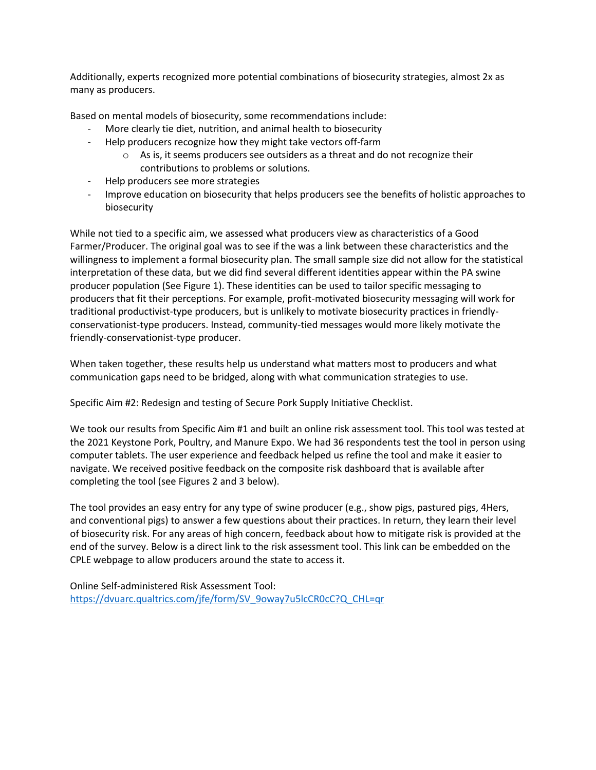Additionally, experts recognized more potential combinations of biosecurity strategies, almost 2x as many as producers.

Based on mental models of biosecurity, some recommendations include:

- More clearly tie diet, nutrition, and animal health to biosecurity
- Help producers recognize how they might take vectors off-farm
	- o As is, it seems producers see outsiders as a threat and do not recognize their contributions to problems or solutions.
- Help producers see more strategies
- Improve education on biosecurity that helps producers see the benefits of holistic approaches to biosecurity

While not tied to a specific aim, we assessed what producers view as characteristics of a Good Farmer/Producer. The original goal was to see if the was a link between these characteristics and the willingness to implement a formal biosecurity plan. The small sample size did not allow for the statistical interpretation of these data, but we did find several different identities appear within the PA swine producer population (See Figure 1). These identities can be used to tailor specific messaging to producers that fit their perceptions. For example, profit-motivated biosecurity messaging will work for traditional productivist-type producers, but is unlikely to motivate biosecurity practices in friendlyconservationist-type producers. Instead, community-tied messages would more likely motivate the friendly-conservationist-type producer.

When taken together, these results help us understand what matters most to producers and what communication gaps need to be bridged, along with what communication strategies to use.

Specific Aim #2: Redesign and testing of Secure Pork Supply Initiative Checklist.

We took our results from Specific Aim #1 and built an online risk assessment tool. This tool was tested at the 2021 Keystone Pork, Poultry, and Manure Expo. We had 36 respondents test the tool in person using computer tablets. The user experience and feedback helped us refine the tool and make it easier to navigate. We received positive feedback on the composite risk dashboard that is available after completing the tool (see Figures 2 and 3 below).

The tool provides an easy entry for any type of swine producer (e.g., show pigs, pastured pigs, 4Hers, and conventional pigs) to answer a few questions about their practices. In return, they learn their level of biosecurity risk. For any areas of high concern, feedback about how to mitigate risk is provided at the end of the survey. Below is a direct link to the risk assessment tool. This link can be embedded on the CPLE webpage to allow producers around the state to access it.

Online Self-administered Risk Assessment Tool: [https://dvuarc.qualtrics.com/jfe/form/SV\\_9oway7u5lcCR0cC?Q\\_CHL=qr](https://dvuarc.qualtrics.com/jfe/form/SV_9oway7u5lcCR0cC?Q_CHL=qr)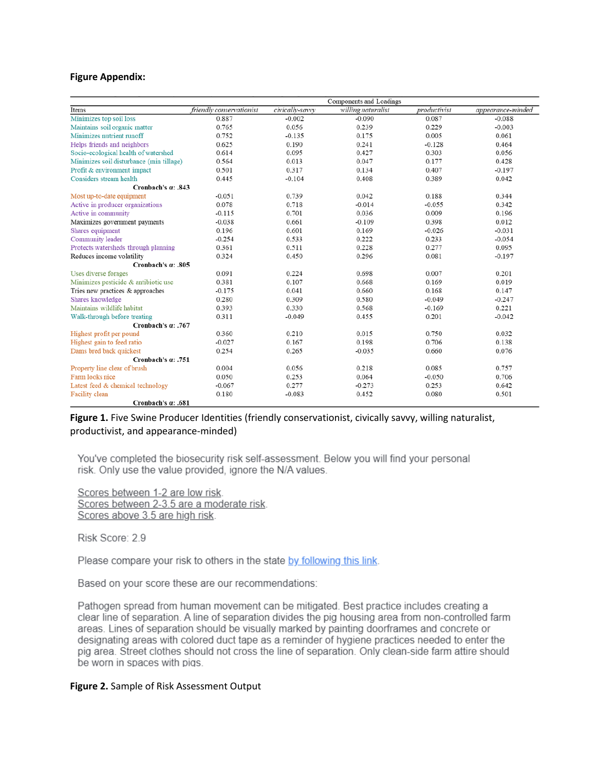## **Figure Appendix:**

|                                          | Components and Loadings  |                 |                    |              |                   |
|------------------------------------------|--------------------------|-----------------|--------------------|--------------|-------------------|
| Items                                    | friendly conservationist | civically-savvy | willing naturalist | productivist | appearance-minded |
| Minimizes top soil loss                  | 0.887                    | $-0.002$        | $-0.090$           | 0.087        | $-0.088$          |
| Maintains soil organic matter            | 0.765                    | 0.056           | 0.239              | 0.229        | $-0.003$          |
| Minimizes nutrient runoff                | 0.752                    | $-0.135$        | 0.175              | 0.005        | 0.061             |
| Helps friends and neighbors              | 0.625                    | 0.190           | 0.241              | $-0.128$     | 0.464             |
| Socio-ecological health of watershed     | 0.614                    | 0.095           | 0.427              | 0.303        | 0.056             |
| Minimizes soil disturbance (min tillage) | 0.564                    | 0.013           | 0.047              | 0.177        | 0.428             |
| Profit & environment impact              | 0.501                    | 0.317           | 0.134              | 0.407        | $-0.197$          |
| Considers stream health                  | 0.445                    | $-0.104$        | 0.408              | 0.389        | 0.042             |
| Cronbach's $a: .843$                     |                          |                 |                    |              |                   |
| Most up-to-date equipment                | $-0.051$                 | 0.739           | 0.042              | 0.188        | 0.344             |
| Active in producer organizations         | 0.078                    | 0.718           | $-0.014$           | $-0.055$     | 0.342             |
| Active in community                      | $-0.115$                 | 0.701           | 0.036              | 0.009        | 0.196             |
| Maximizes government payments            | $-0.038$                 | 0.661           | $-0.109$           | 0.398        | 0.012             |
| Shares equipment                         | 0.196                    | 0.601           | 0.169              | $-0.026$     | $-0.031$          |
| Community leader                         | $-0.254$                 | 0.533           | 0.222              | 0.233        | $-0.054$          |
| Protects watersheds through planning     | 0.361                    | 0.511           | 0.228              | 0.277        | 0.095             |
| Reduces income volatility                | 0.324                    | 0.450           | 0.296              | 0.081        | $-0.197$          |
| Cronbach's $a$ : .805                    |                          |                 |                    |              |                   |
| Uses diverse forages                     | 0.091                    | 0.224           | 0.698              | 0.007        | 0.201             |
| Minimizes pesticide & antibiotic use     | 0.381                    | 0.107           | 0.668              | 0.169        | 0.019             |
| Tries new practices & approaches         | $-0.175$                 | 0.041           | 0.660              | 0.168        | 0.147             |
| Shares knowledge                         | 0.280                    | 0.309           | 0.580              | $-0.049$     | $-0.247$          |
| Maintains wildlife habitat               | 0.393                    | 0.330           | 0.568              | $-0.169$     | 0.221             |
| Walk-through before treating             | 0.311                    | $-0.049$        | 0.455              | 0.201        | $-0.042$          |
| Cronbach's $\alpha$ : .767               |                          |                 |                    |              |                   |
| Highest profit per pound                 | 0.360                    | 0.210           | 0.015              | 0.750        | 0.032             |
| Highest gain to feed ratio               | $-0.027$                 | 0.167           | 0.198              | 0.706        | 0.138             |
| Dams bred back quickest                  | 0.254                    | 0.265           | $-0.035$           | 0.660        | 0.076             |
| Cronbach's $a: .751$                     |                          |                 |                    |              |                   |
| Property line clear of brush             | 0.004                    | 0.056           | 0.218              | 0.085        | 0.757             |
| Farm looks nice                          | 0.050                    | 0.253           | 0.064              | $-0.050$     | 0.706             |
| Latest feed & chemical technology        | $-0.067$                 | 0.277           | $-0.273$           | 0.253        | 0.642             |
| Facility clean                           | 0.180                    | $-0.083$        | 0.452              | 0.080        | 0.501             |
| Cronbach's a: .681                       |                          |                 |                    |              |                   |

## **Figure 1.** Five Swine Producer Identities (friendly conservationist, civically savvy, willing naturalist, productivist, and appearance-minded)

You've completed the biosecurity risk self-assessment. Below you will find your personal risk. Only use the value provided, ignore the N/A values.

Scores between 1-2 are low risk. Scores between 2-3.5 are a moderate risk. Scores above 3.5 are high risk.

Risk Score: 2.9

Please compare your risk to others in the state by following this link.

Based on your score these are our recommendations:

Pathogen spread from human movement can be mitigated. Best practice includes creating a clear line of separation. A line of separation divides the pig housing area from non-controlled farm areas. Lines of separation should be visually marked by painting doorframes and concrete or designating areas with colored duct tape as a reminder of hygiene practices needed to enter the pig area. Street clothes should not cross the line of separation. Only clean-side farm attire should be worn in spaces with pigs.

## **Figure 2.** Sample of Risk Assessment Output